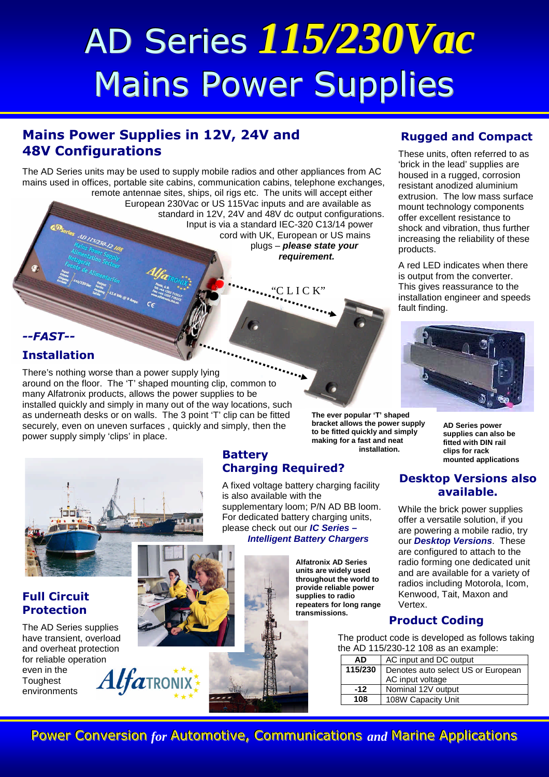# AD Series *115/230Vac* Mains Power Supplies

## **Mains Power Supplies in 12V, 24V and 48V Configurations**

The AD Series units may be used to supply mobile radios and other appliances from AC mains used in offices, portable site cabins, communication cabins, telephone exchanges,

remote antennae sites, ships, oil rigs etc. The units will accept either European 230Vac or US 115Vac inputs and are available as standard in 12V, 24V and 48V dc output configurations. Input is via a standard IEC-320 C13/14 power cord with UK, European or US mains plugs – *please state your requirement.*

## **Rugged and Compact**

These units, often referred to as 'brick in the lead' supplies are housed in a rugged, corrosion resistant anodized aluminium extrusion. The low mass surface mount technology components offer excellent resistance to shock and vibration, thus further increasing the reliability of these products.

A red LED indicates when there is output from the converter. This gives reassurance to the installation engineer and speeds fault finding.



#### *--FAST--* **Installation**

There's nothing worse than a power supply lying around on the floor. The 'T' shaped mounting clip, common to many Alfatronix products, allows the power supplies to be installed quickly and simply in many out of the way locations, such as underneath desks or on walls. The 3 point 'T' clip can be fitted securely, even on uneven surfaces , quickly and simply, then the power supply simply 'clips' in place.



#### **Full Circuit Protection**

The AD Series supplies have transient, overload and overheat protection for reliable operation even in the **Toughest** environments

#### **Battery mounted applications Battery mounted applications Charging Required?**

A fixed voltage battery charging facility is also available with the supplementary loom; P/N AD BB loom. For dedicated battery charging units, please check out our *IC Series – Intelligent Battery Chargers*

C L I C K'

**Alfatronix AD Series units are widely used throughout the world to provide reliable power supplies to radio repeaters for long range transmissions.**

**bracket allows the power supply to be fitted quickly and simply making for a fast and neat**

**installation.**

**AD Series power supplies can also be fitted with DIN rail**

#### **Desktop Versions also available.**

While the brick power supplies offer a versatile solution, if you are powering a mobile radio, try our *Desktop Versions*. These are configured to attach to the radio forming one dedicated unit and are available for a variety of radios including Motorola, Icom, Kenwood, Tait, Maxon and Vertex.

### **Product Coding**

The product code is developed as follows taking the AD 115/230-12 108 as an example:

| <b>AD</b> | AC input and DC output             |  |  |  |
|-----------|------------------------------------|--|--|--|
| 115/230   | Denotes auto select US or European |  |  |  |
|           | AC input voltage                   |  |  |  |
| $-12$     | Nominal 12V output                 |  |  |  |
| 108       | 108W Capacity Unit                 |  |  |  |



Power Conversion *for* Automotive, Communications and Marine Applications